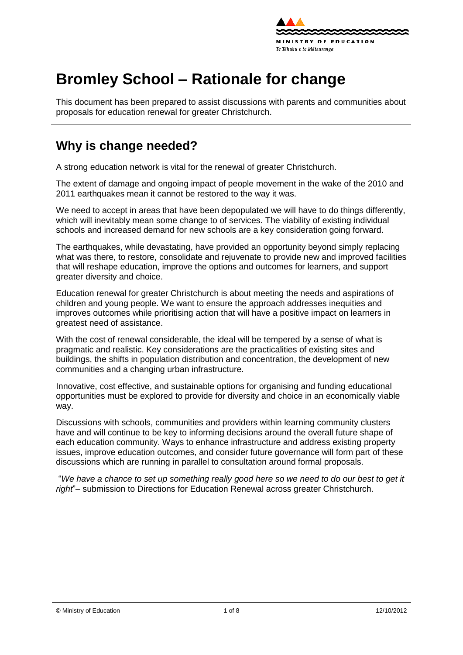

# **Bromley School – Rationale for change**

This document has been prepared to assist discussions with parents and communities about proposals for education renewal for greater Christchurch.

## **Why is change needed?**

A strong education network is vital for the renewal of greater Christchurch.

The extent of damage and ongoing impact of people movement in the wake of the 2010 and 2011 earthquakes mean it cannot be restored to the way it was.

We need to accept in areas that have been depopulated we will have to do things differently, which will inevitably mean some change to of services. The viability of existing individual schools and increased demand for new schools are a key consideration going forward.

The earthquakes, while devastating, have provided an opportunity beyond simply replacing what was there, to [restore,](http://shapingeducation.minedu.govt.nz/guiding-the-process-of-renewal/restore) [consolidate](http://shapingeducation.minedu.govt.nz/guiding-the-process-of-renewal/consolidate) and [rejuvenate](http://shapingeducation.minedu.govt.nz/guiding-the-process-of-renewal/rejuvenate) to provide new and improved facilities that will reshape education, improve the options and outcomes for learners, and support greater diversity and choice.

Education renewal for greater Christchurch is about meeting the needs and aspirations of children and young people. We want to ensure the approach addresses inequities and improves outcomes while prioritising action that will have a positive impact on learners in greatest need of assistance.

With the cost of renewal considerable, the ideal will be tempered by a sense of what is pragmatic and realistic. Key considerations are the practicalities of existing sites and buildings, the shifts in population distribution and concentration, the development of new communities and a changing urban infrastructure.

Innovative, cost effective, and sustainable options for organising and funding educational opportunities must be explored to provide for diversity and choice in an economically viable way.

Discussions with schools, communities and providers within learning community clusters have and will continue to be key to informing decisions around the overall future shape of each education community. Ways to enhance infrastructure and address existing property issues, improve education outcomes, and consider future governance will form part of these discussions which are running in parallel to consultation around formal proposals.

"*We have a chance to set up something really good here so we need to do our best to get it right*"– submission to Directions for Education Renewal across greater Christchurch.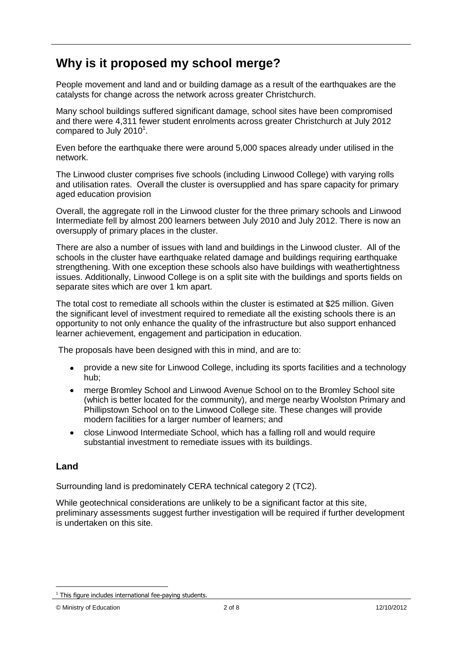# **Why is it proposed my school merge?**

People movement and land and or building damage as a result of the earthquakes are the catalysts for change across the network across greater Christchurch.

Many school buildings suffered significant damage, school sites have been compromised and there were 4,311 fewer student enrolments across greater Christchurch at July 2012 compared to July 2010 $^1$ .

Even before the earthquake there were around 5,000 spaces already under utilised in the network.

The Linwood cluster comprises five schools (including Linwood College) with varying rolls and utilisation rates. Overall the cluster is oversupplied and has spare capacity for primary aged education provision

Overall, the aggregate roll in the Linwood cluster for the three primary schools and Linwood Intermediate fell by almost 200 learners between July 2010 and July 2012. There is now an oversupply of primary places in the cluster.

There are also a number of issues with land and buildings in the Linwood cluster. All of the schools in the cluster have earthquake related damage and buildings requiring earthquake strengthening. With one exception these schools also have buildings with weathertightness issues. Additionally, Linwood College is on a split site with the buildings and sports fields on separate sites which are over 1 km apart.

The total cost to remediate all schools within the cluster is estimated at \$25 million. Given the significant level of investment required to remediate all the existing schools there is an opportunity to not only enhance the quality of the infrastructure but also support enhanced learner achievement, engagement and participation in education.

The proposals have been designed with this in mind, and are to:

- provide a new site for Linwood College, including its sports facilities and a technology  $\bullet$ hub;
- merge Bromley School and Linwood Avenue School on to the Bromley School site  $\bullet$ (which is better located for the community), and merge nearby Woolston Primary and Phillipstown School on to the Linwood College site. These changes will provide modern facilities for a larger number of learners; and
- close Linwood Intermediate School, which has a falling roll and would require  $\bullet$ substantial investment to remediate issues with its buildings.

### **Land**

1

Surrounding land is predominately CERA technical category 2 (TC2).

While geotechnical considerations are unlikely to be a significant factor at this site, preliminary assessments suggest further investigation will be required if further development is undertaken on this site.

 $1$  This figure includes international fee-paying students.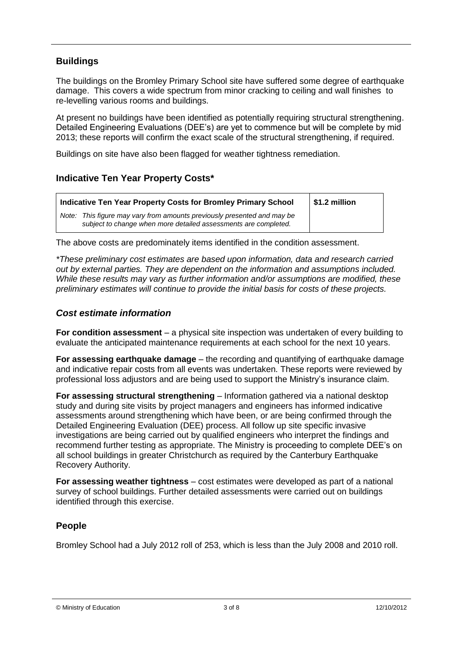### **Buildings**

The buildings on the Bromley Primary School site have suffered some degree of earthquake damage. This covers a wide spectrum from minor cracking to ceiling and wall finishes to re-levelling various rooms and buildings.

At present no buildings have been identified as potentially requiring structural strengthening. Detailed Engineering Evaluations (DEE"s) are yet to commence but will be complete by mid 2013; these reports will confirm the exact scale of the structural strengthening, if required.

Buildings on site have also been flagged for weather tightness remediation.

### **Indicative Ten Year Property Costs\***

| Indicative Ten Year Property Costs for Bromley Primary School                                                                              | \$1.2 million |
|--------------------------------------------------------------------------------------------------------------------------------------------|---------------|
| Note: This figure may vary from amounts previously presented and may be<br>subject to change when more detailed assessments are completed. |               |

The above costs are predominately items identified in the condition assessment.

*\*These preliminary cost estimates are based upon information, data and research carried out by external parties. They are dependent on the information and assumptions included. While these results may vary as further information and/or assumptions are modified, these preliminary estimates will continue to provide the initial basis for costs of these projects.*

#### *Cost estimate information*

**For condition assessment** – a physical site inspection was undertaken of every building to evaluate the anticipated maintenance requirements at each school for the next 10 years.

**For assessing earthquake damage** – the recording and quantifying of earthquake damage and indicative repair costs from all events was undertaken. These reports were reviewed by professional loss adjustors and are being used to support the Ministry"s insurance claim.

**For assessing structural strengthening** – Information gathered via a national desktop study and during site visits by project managers and engineers has informed indicative assessments around strengthening which have been, or are being confirmed through the Detailed Engineering Evaluation (DEE) process. All follow up site specific invasive investigations are being carried out by qualified engineers who interpret the findings and recommend further testing as appropriate. The Ministry is proceeding to complete DEE"s on all school buildings in greater Christchurch as required by the Canterbury Earthquake Recovery Authority.

**For assessing weather tightness** – cost estimates were developed as part of a national survey of school buildings. Further detailed assessments were carried out on buildings identified through this exercise.

### **People**

Bromley School had a July 2012 roll of 253, which is less than the July 2008 and 2010 roll.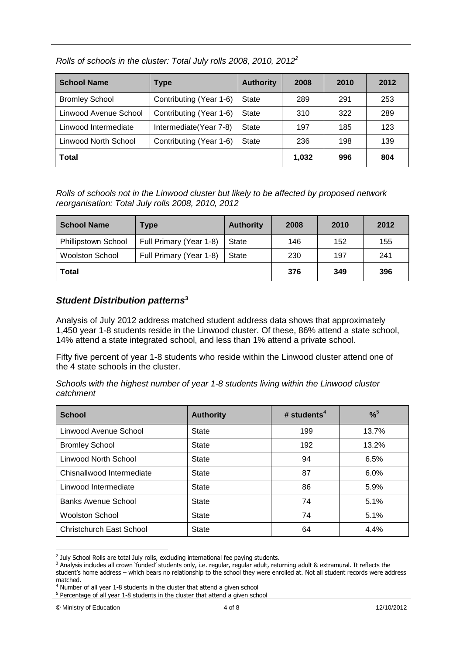| <b>School Name</b>    | <b>Type</b>             | <b>Authority</b> | 2008  | 2010 | 2012 |
|-----------------------|-------------------------|------------------|-------|------|------|
| <b>Bromley School</b> | Contributing (Year 1-6) | State            | 289   | 291  | 253  |
| Linwood Avenue School | Contributing (Year 1-6) | State            | 310   | 322  | 289  |
| Linwood Intermediate  | Intermediate (Year 7-8) | State            | 197   | 185  | 123  |
| Linwood North School  | Contributing (Year 1-6) | State            | 236   | 198  | 139  |
| Total                 |                         |                  | 1.032 | 996  | 804  |

*Rolls of schools in the cluster: Total July rolls 2008, 2010, 2012<sup>2</sup>*

*Rolls of schools not in the Linwood cluster but likely to be affected by proposed network reorganisation: Total July rolls 2008, 2010, 2012*

| <b>School Name</b>         | Type                    | <b>Authority</b> | 2008 | 2010 | 2012 |
|----------------------------|-------------------------|------------------|------|------|------|
| <b>Phillipstown School</b> | Full Primary (Year 1-8) | State            | 146  | 152  | 155  |
| <b>Woolston School</b>     | Full Primary (Year 1-8) | State            | 230  | 197  | 241  |
| Total                      |                         | 376              | 349  | 396  |      |

#### *Student Distribution patterns***<sup>3</sup>**

Analysis of July 2012 address matched student address data shows that approximately 1,450 year 1-8 students reside in the Linwood cluster. Of these, 86% attend a state school, 14% attend a state integrated school, and less than 1% attend a private school.

Fifty five percent of year 1-8 students who reside within the Linwood cluster attend one of the 4 state schools in the cluster.

*Schools with the highest number of year 1-8 students living within the Linwood cluster catchment*

| <b>School</b>                   | <b>Authority</b> | # students <sup>4</sup> | $% ^{5}$ |
|---------------------------------|------------------|-------------------------|----------|
| Linwood Avenue School           | State            | 199                     | 13.7%    |
| <b>Bromley School</b>           | State            | 192                     | 13.2%    |
| <b>Linwood North School</b>     | <b>State</b>     | 94                      | 6.5%     |
| Chisnallwood Intermediate       | <b>State</b>     | 87                      | $6.0\%$  |
| Linwood Intermediate            | State            | 86                      | 5.9%     |
| <b>Banks Avenue School</b>      | State            | 74                      | 5.1%     |
| <b>Woolston School</b>          | State            | 74                      | 5.1%     |
| <b>Christchurch East School</b> | <b>State</b>     | 64                      | 4.4%     |

<sup>&</sup>lt;sup>2</sup> July School Rolls are total July rolls, excluding international fee paying students.

<u>.</u>

<sup>&</sup>lt;sup>3</sup> Analysis includes all crown 'funded' students only, i.e. regular, regular adult, returning adult & extramural. It reflects the student's home address – which bears no relationship to the school they were enrolled at. Not all student records were address matched.

<sup>4</sup> Number of all year 1-8 students in the cluster that attend a given school

<sup>&</sup>lt;sup>5</sup> Percentage of all year 1-8 students in the cluster that attend a given school

<sup>©</sup> Ministry of Education 4 of 8 12/10/2012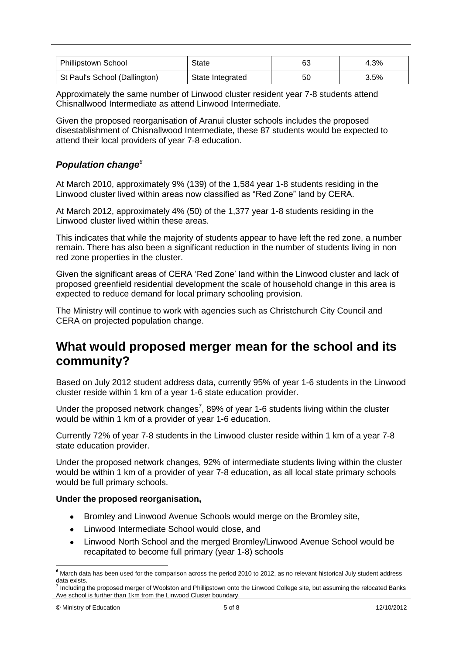| <b>Phillipstown School</b>    | State            | 63 | 4.3% |
|-------------------------------|------------------|----|------|
| St Paul's School (Dallington) | State Integrated | 50 | 3.5% |

Approximately the same number of Linwood cluster resident year 7-8 students attend Chisnallwood Intermediate as attend Linwood Intermediate.

Given the proposed reorganisation of Aranui cluster schools includes the proposed disestablishment of Chisnallwood Intermediate, these 87 students would be expected to attend their local providers of year 7-8 education.

#### *Population change<sup>6</sup>*

At March 2010, approximately 9% (139) of the 1,584 year 1-8 students residing in the Linwood cluster lived within areas now classified as "Red Zone" land by CERA.

At March 2012, approximately 4% (50) of the 1,377 year 1-8 students residing in the Linwood cluster lived within these areas.

This indicates that while the majority of students appear to have left the red zone, a number remain. There has also been a significant reduction in the number of students living in non red zone properties in the cluster.

Given the significant areas of CERA "Red Zone" land within the Linwood cluster and lack of proposed greenfield residential development the scale of household change in this area is expected to reduce demand for local primary schooling provision.

The Ministry will continue to work with agencies such as Christchurch City Council and CERA on projected population change.

### **What would proposed merger mean for the school and its community?**

Based on July 2012 student address data, currently 95% of year 1-6 students in the Linwood cluster reside within 1 km of a year 1-6 state education provider.

Under the proposed network changes<sup>7</sup>, 89% of year 1-6 students living within the cluster would be within 1 km of a provider of year 1-6 education.

Currently 72% of year 7-8 students in the Linwood cluster reside within 1 km of a year 7-8 state education provider.

Under the proposed network changes, 92% of intermediate students living within the cluster would be within 1 km of a provider of year 7-8 education, as all local state primary schools would be full primary schools.

#### **Under the proposed reorganisation,**

- Bromley and Linwood Avenue Schools would merge on the Bromley site,
- Linwood Intermediate School would close, and  $\bullet$
- Linwood North School and the merged Bromley/Linwood Avenue School would be  $\bullet$ recapitated to become full primary (year 1-8) schools

<u>.</u>

*<sup>6</sup>* March data has been used for the comparison across the period 2010 to 2012, as no relevant historical July student address data exists.

<sup>7</sup> Including the proposed merger of Woolston and Phillipstown onto the Linwood College site, but assuming the relocated Banks Ave school is further than 1km from the Linwood Cluster boundary.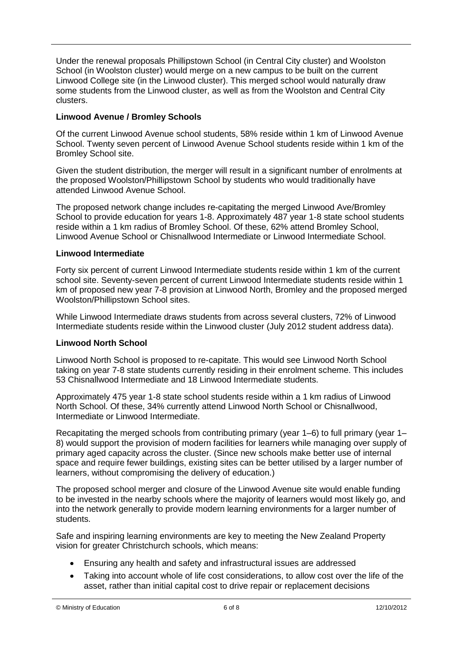Under the renewal proposals Phillipstown School (in Central City cluster) and Woolston School (in Woolston cluster) would merge on a new campus to be built on the current Linwood College site (in the Linwood cluster). This merged school would naturally draw some students from the Linwood cluster, as well as from the Woolston and Central City clusters.

#### **Linwood Avenue / Bromley Schools**

Of the current Linwood Avenue school students, 58% reside within 1 km of Linwood Avenue School. Twenty seven percent of Linwood Avenue School students reside within 1 km of the Bromley School site.

Given the student distribution, the merger will result in a significant number of enrolments at the proposed Woolston/Phillipstown School by students who would traditionally have attended Linwood Avenue School.

The proposed network change includes re-capitating the merged Linwood Ave/Bromley School to provide education for years 1-8. Approximately 487 year 1-8 state school students reside within a 1 km radius of Bromley School. Of these, 62% attend Bromley School, Linwood Avenue School or Chisnallwood Intermediate or Linwood Intermediate School.

#### **Linwood Intermediate**

Forty six percent of current Linwood Intermediate students reside within 1 km of the current school site. Seventy-seven percent of current Linwood Intermediate students reside within 1 km of proposed new year 7-8 provision at Linwood North, Bromley and the proposed merged Woolston/Phillipstown School sites.

While Linwood Intermediate draws students from across several clusters, 72% of Linwood Intermediate students reside within the Linwood cluster (July 2012 student address data).

#### **Linwood North School**

Linwood North School is proposed to re-capitate. This would see Linwood North School taking on year 7-8 state students currently residing in their enrolment scheme. This includes 53 Chisnallwood Intermediate and 18 Linwood Intermediate students.

Approximately 475 year 1-8 state school students reside within a 1 km radius of Linwood North School. Of these, 34% currently attend Linwood North School or Chisnallwood, Intermediate or Linwood Intermediate.

Recapitating the merged schools from contributing primary (year 1–6) to full primary (year 1– 8) would support the provision of modern facilities for learners while managing over supply of primary aged capacity across the cluster. (Since new schools make better use of internal space and require fewer buildings, existing sites can be better utilised by a larger number of learners, without compromising the delivery of education.)

The proposed school merger and closure of the Linwood Avenue site would enable funding to be invested in the nearby schools where the majority of learners would most likely go, and into the network generally to provide modern learning environments for a larger number of students.

Safe and inspiring learning environments are key to meeting the New Zealand Property vision for greater Christchurch schools, which means:

- Ensuring any health and safety and infrastructural issues are addressed  $\bullet$
- Taking into account whole of life cost considerations, to allow cost over the life of the asset, rather than initial capital cost to drive repair or replacement decisions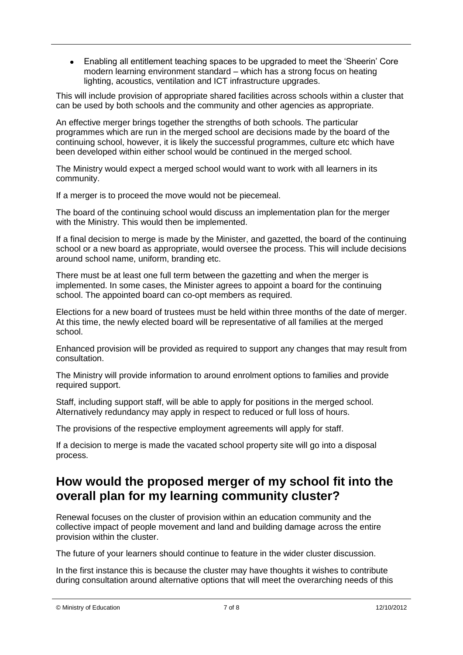$\bullet$ Enabling all entitlement teaching spaces to be upgraded to meet the "Sheerin" Core modern learning environment standard – which has a strong focus on heating lighting, acoustics, ventilation and ICT infrastructure upgrades.

This will include provision of appropriate shared facilities across schools within a cluster that can be used by both schools and the community and other agencies as appropriate.

An effective merger brings together the strengths of both schools. The particular programmes which are run in the merged school are decisions made by the board of the continuing school, however, it is likely the successful programmes, culture etc which have been developed within either school would be continued in the merged school.

The Ministry would expect a merged school would want to work with all learners in its community.

If a merger is to proceed the move would not be piecemeal.

The board of the continuing school would discuss an implementation plan for the merger with the Ministry. This would then be implemented.

If a final decision to merge is made by the Minister, and gazetted, the board of the continuing school or a new board as appropriate, would oversee the process. This will include decisions around school name, uniform, branding etc.

There must be at least one full term between the gazetting and when the merger is implemented. In some cases, the Minister agrees to appoint a board for the continuing school. The appointed board can co-opt members as required.

Elections for a new board of trustees must be held within three months of the date of merger. At this time, the newly elected board will be representative of all families at the merged school.

Enhanced provision will be provided as required to support any changes that may result from consultation.

The Ministry will provide information to around enrolment options to families and provide required support.

Staff, including support staff, will be able to apply for positions in the merged school. Alternatively redundancy may apply in respect to reduced or full loss of hours.

The provisions of the respective employment agreements will apply for staff.

If a decision to merge is made the vacated school property site will go into a disposal process.

### **How would the proposed merger of my school fit into the overall plan for my learning community cluster?**

Renewal focuses on the cluster of provision within an education community and the collective impact of people movement and land and building damage across the entire provision within the cluster.

The future of your learners should continue to feature in the wider cluster discussion.

In the first instance this is because the cluster may have thoughts it wishes to contribute during consultation around alternative options that will meet the overarching needs of this